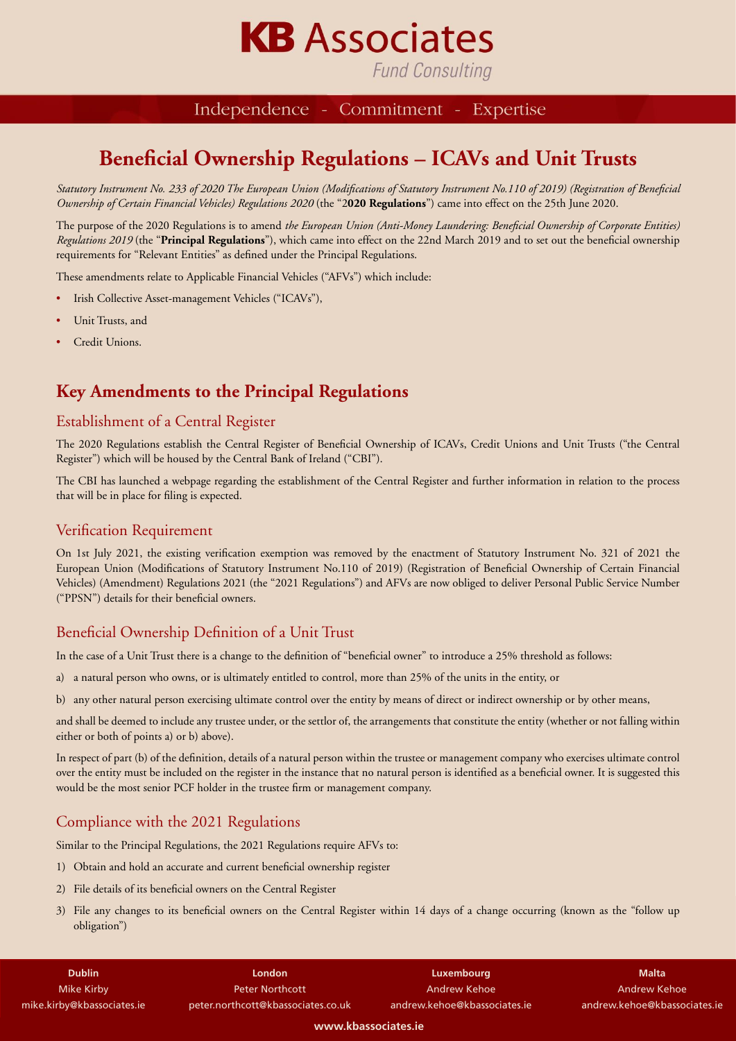

**Fund Consulting** 

#### Independence - Commitment -Expertise

### **Beneficial Ownership Regulations – ICAVs and Unit Trusts**

*Statutory Instrument No. 233 of 2020 The European Union (Modifications of Statutory Instrument No.110 of 2019) (Registration of Beneficial Ownership of Certain Financial Vehicles) Regulations 2020* (the "2**020 Regulations**") came into effect on the 25th June 2020.

The purpose of the 2020 Regulations is to amend *the European Union (Anti-Money Laundering: Beneficial Ownership of Corporate Entities) Regulations 2019* (the "**Principal Regulations**"), which came into effect on the 22nd March 2019 and to set out the beneficial ownership requirements for "Relevant Entities" as defined under the Principal Regulations.

These amendments relate to Applicable Financial Vehicles ("AFVs") which include:

- Irish Collective Asset-management Vehicles ("ICAVs"),
- Unit Trusts, and
- Credit Unions.

### **Key Amendments to the Principal Regulations**

#### Establishment of a Central Register

The 2020 Regulations establish the Central Register of Beneficial Ownership of ICAVs, Credit Unions and Unit Trusts ("the Central Register") which will be housed by the Central Bank of Ireland ("CBI").

The CBI has launched a webpage regarding the establishment of the Central Register and further information in relation to the process that will be in place for filing is expected.

#### Verification Requirement

On 1st July 2021, the existing verification exemption was removed by the enactment of Statutory Instrument No. 321 of 2021 the European Union (Modifications of Statutory Instrument No.110 of 2019) (Registration of Beneficial Ownership of Certain Financial Vehicles) (Amendment) Regulations 2021 (the "2021 Regulations") and AFVs are now obliged to deliver Personal Public Service Number ("PPSN") details for their beneficial owners.

#### Beneficial Ownership Definition of a Unit Trust

In the case of a Unit Trust there is a change to the definition of "beneficial owner" to introduce a 25% threshold as follows:

- a) a natural person who owns, or is ultimately entitled to control, more than 25% of the units in the entity, or
- b) any other natural person exercising ultimate control over the entity by means of direct or indirect ownership or by other means,

and shall be deemed to include any trustee under, or the settlor of, the arrangements that constitute the entity (whether or not falling within either or both of points a) or b) above).

In respect of part (b) of the definition, details of a natural person within the trustee or management company who exercises ultimate control over the entity must be included on the register in the instance that no natural person is identified as a beneficial owner. It is suggested this would be the most senior PCF holder in the trustee firm or management company.

#### Compliance with the 2021 Regulations

Similar to the Principal Regulations, the 2021 Regulations require AFVs to:

- 1) Obtain and hold an accurate and current beneficial ownership register
- 2) File details of its beneficial owners on the Central Register
- 3) File any changes to its beneficial owners on the Central Register within 14 days of a change occurring (known as the "follow up obligation")

**Dublin** Mike Kirby mike.kirby@kbassociates.ie

**London** Peter Northcott peter.northcott@kbassociates.co.uk

**Luxembourg** Andrew Kehoe andrew.kehoe@kbassociates.ie

**Malta** Andrew Kehoe andrew.kehoe@kbassociates.ie

**www.kbassociates.ie**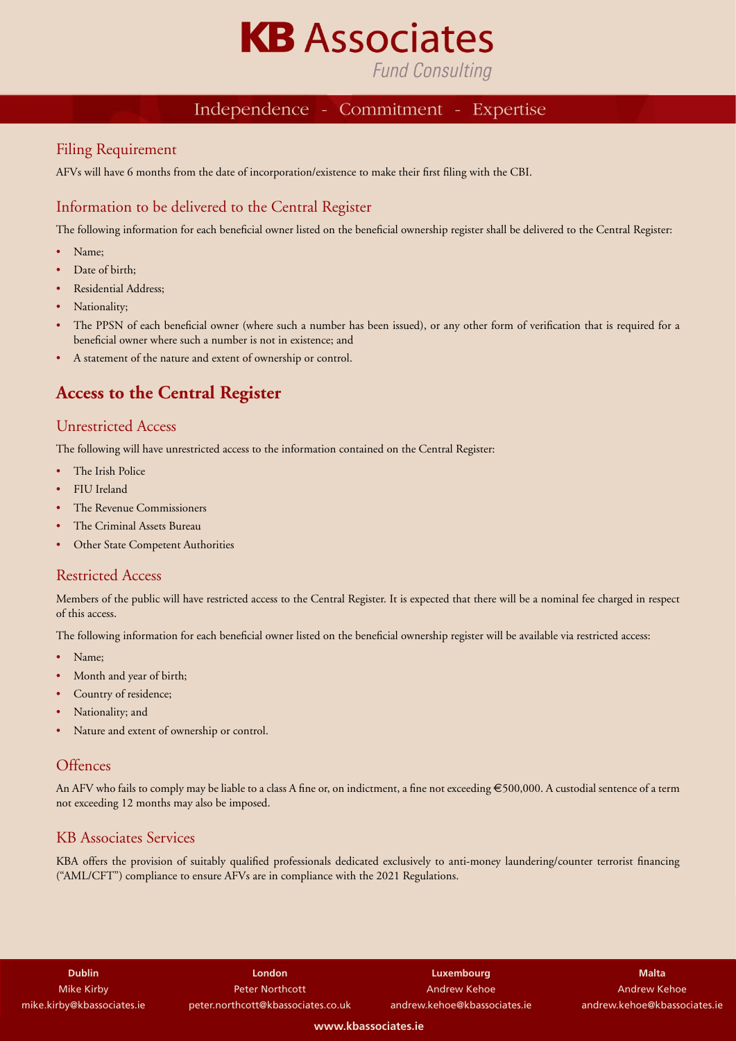

### **Fund Consulting**

#### Independence - Commitment -Expertise

#### Filing Requirement

AFVs will have 6 months from the date of incorporation/existence to make their first filing with the CBI.

#### Information to be delivered to the Central Register

The following information for each beneficial owner listed on the beneficial ownership register shall be delivered to the Central Register:

- Name;
- Date of birth:
- Residential Address;
- Nationality;
- The PPSN of each beneficial owner (where such a number has been issued), or any other form of verification that is required for a beneficial owner where such a number is not in existence; and
- A statement of the nature and extent of ownership or control.

### **Access to the Central Register**

#### Unrestricted Access

The following will have unrestricted access to the information contained on the Central Register:

- The Irish Police
- FIU Ireland
- The Revenue Commissioners
- The Criminal Assets Bureau
- Other State Competent Authorities

#### Restricted Access

Members of the public will have restricted access to the Central Register. It is expected that there will be a nominal fee charged in respect of this access.

The following information for each beneficial owner listed on the beneficial ownership register will be available via restricted access:

- Name;
- Month and year of birth;
- Country of residence;
- Nationality; and
- Nature and extent of ownership or control.

#### **Offences**

An AFV who fails to comply may be liable to a class A fine or, on indictment, a fine not exceeding €500,000. A custodial sentence of a term not exceeding 12 months may also be imposed.

#### KB Associates Services

KBA offers the provision of suitably qualified professionals dedicated exclusively to anti-money laundering/counter terrorist financing ("AML/CFT") compliance to ensure AFVs are in compliance with the 2021 Regulations.

| <b>Dublin</b>              |
|----------------------------|
| <b>Mike Kirby</b>          |
| mike.kirby@kbassociates.ie |

**London** Peter Northcott peter.northcott@kbassociates.co.uk

**Luxembourg** Andrew Kehoe andrew.kehoe@kbassociates.ie

**Malta** Andrew Kehoe andrew.kehoe@kbassociates.ie

**www.kbassociates.ie**